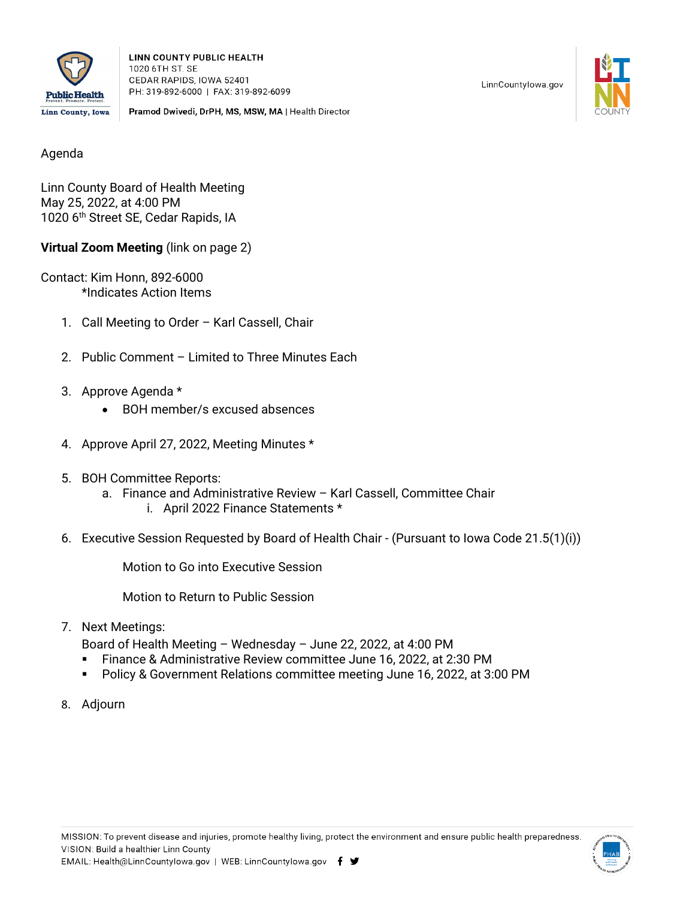

**LINN COUNTY PUBLIC HEALTH** 1020 6TH ST. SE CEDAR RAPIDS, IOWA 52401 PH: 319-892-6000 | FAX: 319-892-6099

Pramod Dwivedi, DrPH, MS, MSW, MA | Health Director

LinnCountylowa.gov



Agenda

Linn County Board of Health Meeting May 25, 2022, at 4:00 PM 1020 6<sup>th</sup> Street SE, Cedar Rapids, IA

**Virtual Zoom Meeting** (link on page 2)

Contact: Kim Honn, 892-6000 \*Indicates Action Items

- 1. Call Meeting to Order Karl Cassell, Chair
- 2. Public Comment Limited to Three Minutes Each
- 3. Approve Agenda \*
	- BOH member/s excused absences
- 4. Approve April 27, 2022, Meeting Minutes \*
- 5. BOH Committee Reports:
	- a. Finance and Administrative Review Karl Cassell, Committee Chair i. April 2022 Finance Statements \*
- 6. Executive Session Requested by Board of Health Chair (Pursuant to Iowa Code 21.5(1)(i))

Motion to Go into Executive Session

Motion to Return to Public Session

7. Next Meetings:

Board of Health Meeting – Wednesday – June 22, 2022, at 4:00 PM

- Finance & Administrative Review committee June 16, 2022, at 2:30 PM
- Policy & Government Relations committee meeting June 16, 2022, at 3:00 PM
- 8. Adjourn